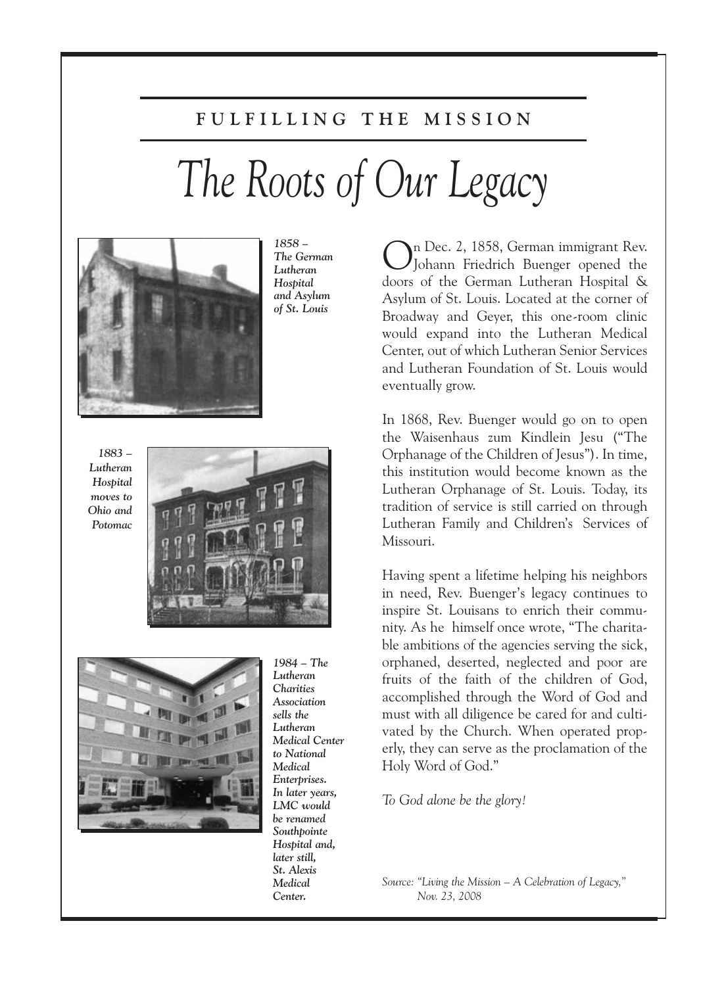# **F U L F I L L I N G T H E M I S S I O N**

# *The Roots of Our Legacy*



*1858 – The German Lutheran Hospital and Asylum of St. Louis*

*1883 – Lutheran Hospital moves to Ohio and Potomac*





*Lutheran Charities Association sells the Lutheran Medical Center to National Medical Enterprises. In later years, LMC would be renamed Southpointe Hospital and, later still, St. Alexis Medical Center.*

*1984 – The*

On Dec. 2, 1858, German immigrant Rev. Johann Friedrich Buenger opened the doors of the German Lutheran Hospital & Asylum of St. Louis. Located at the corner of Broadway and Geyer, this one-room clinic would expand into the Lutheran Medical Center, out of which Lutheran Senior Services and Lutheran Foundation of St. Louis would eventually grow.

In 1868, Rev. Buenger would go on to open the Waisenhaus zum Kindlein Jesu ("The Orphanage of the Children of Jesus"). In time, this institution would become known as the Lutheran Orphanage of St. Louis. Today, its tradition of service is still carried on through Lutheran Family and Children's Services of Missouri.

Having spent a lifetime helping his neighbors in need, Rev. Buenger's legacy continues to inspire St. Louisans to enrich their community. As he himself once wrote, "The charitable ambitions of the agencies serving the sick, orphaned, deserted, neglected and poor are fruits of the faith of the children of God, accomplished through the Word of God and must with all diligence be cared for and cultivated by the Church. When operated properly, they can serve as the proclamation of the Holy Word of God."

*To God alone be the glory!*

*Source: "Living the Mission – A Celebration of Legacy," Nov. 23, 2008*